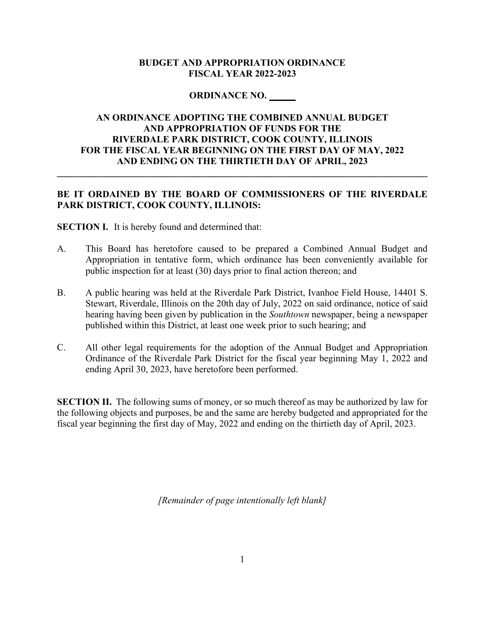#### **BUDGET AND APPROPRIATION ORDINANCE FISCAL YEAR 2022-2023**

#### **ORDINANCE NO. \_\_\_\_\_**

### **AN ORDINANCE ADOPTING THE COMBINED ANNUAL BUDGET AND APPROPRIATION OF FUNDS FOR THE RIVERDALE PARK DISTRICT, COOK COUNTY, ILLINOIS FOR THE FISCAL YEAR BEGINNING ON THE FIRST DAY OF MAY, 2022 AND ENDING ON THE THIRTIETH DAY OF APRIL, 2023**

### **BE IT ORDAINED BY THE BOARD OF COMMISSIONERS OF THE RIVERDALE PARK DISTRICT, COOK COUNTY, ILLINOIS:**

**\_\_\_\_\_\_\_\_\_\_\_\_\_\_\_\_\_\_\_\_\_\_\_\_\_\_\_\_\_\_\_\_\_\_\_\_\_\_\_\_\_\_\_\_\_\_\_\_\_\_\_\_\_\_\_\_\_\_\_\_\_\_\_\_\_\_\_\_\_\_\_\_\_\_\_\_\_\_** 

**SECTION I.** It is hereby found and determined that:

- A. This Board has heretofore caused to be prepared a Combined Annual Budget and Appropriation in tentative form, which ordinance has been conveniently available for public inspection for at least (30) days prior to final action thereon; and
- B. A public hearing was held at the Riverdale Park District, Ivanhoe Field House, 14401 S. Stewart, Riverdale, Illinois on the 20th day of July, 2022 on said ordinance, notice of said hearing having been given by publication in the *Southtown* newspaper, being a newspaper published within this District, at least one week prior to such hearing; and
- C. All other legal requirements for the adoption of the Annual Budget and Appropriation Ordinance of the Riverdale Park District for the fiscal year beginning May 1, 2022 and ending April 30, 2023, have heretofore been performed.

**SECTION II.** The following sums of money, or so much thereof as may be authorized by law for the following objects and purposes, be and the same are hereby budgeted and appropriated for the fiscal year beginning the first day of May, 2022 and ending on the thirtieth day of April, 2023.

*[Remainder of page intentionally left blank]*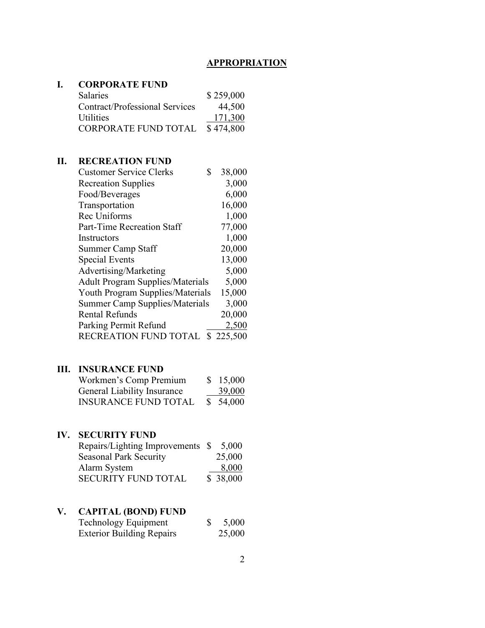# **I. CORPORATE FUND**

| <b>Salaries</b>                | \$259,000 |
|--------------------------------|-----------|
| Contract/Professional Services | 44,500    |
| <b>Utilities</b>               | 171,300   |
| CORPORATE FUND TOTAL           | \$474,800 |

## **II. RECREATION FUND**

| <b>Customer Service Clerks</b><br>\$    | 38,000    |
|-----------------------------------------|-----------|
| <b>Recreation Supplies</b>              | 3,000     |
| Food/Beverages                          | 6,000     |
| Transportation                          | 16,000    |
| Rec Uniforms                            | 1,000     |
| Part-Time Recreation Staff              | 77,000    |
| Instructors                             | 1,000     |
| <b>Summer Camp Staff</b>                | 20,000    |
| <b>Special Events</b>                   | 13,000    |
| Advertising/Marketing                   | 5,000     |
| <b>Adult Program Supplies/Materials</b> | 5,000     |
| <b>Youth Program Supplies/Materials</b> | 15,000    |
| <b>Summer Camp Supplies/Materials</b>   | 3,000     |
| <b>Rental Refunds</b>                   | 20,000    |
| Parking Permit Refund                   | 2,500     |
| RECREATION FUND TOTAL                   | \$225,500 |

## **III. INSURANCE FUND**

| Workmen's Comp Premium             | \$15,000 |
|------------------------------------|----------|
| <b>General Liability Insurance</b> | 39,000   |
| <b>INSURANCE FUND TOTAL</b>        | \$54,000 |

# **IV. SECURITY FUND**

| Repairs/Lighting Improvements \$ | 5,000    |
|----------------------------------|----------|
| <b>Seasonal Park Security</b>    | 25,000   |
| Alarm System                     | 8,000    |
| <b>SECURITY FUND TOTAL</b>       | \$38,000 |

# **V. CAPITAL (BOND) FUND**

| Technology Equipment             | 5,000  |
|----------------------------------|--------|
| <b>Exterior Building Repairs</b> | 25,000 |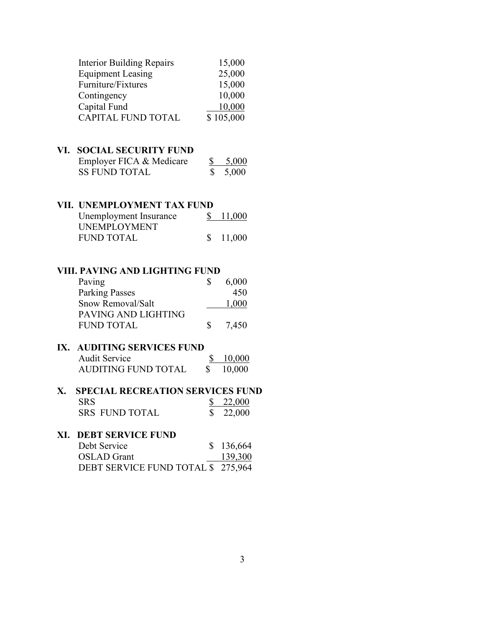|     | <b>Interior Building Repairs</b>        |           | 15,000        |
|-----|-----------------------------------------|-----------|---------------|
|     | <b>Equipment Leasing</b>                |           | 25,000        |
|     | Furniture/Fixtures                      |           | 15,000        |
|     | Contingency                             |           | 10,000        |
|     | Capital Fund                            |           | 10,000        |
|     | <b>CAPITAL FUND TOTAL</b>               |           | \$105,000     |
|     |                                         |           |               |
| VI. | <b>SOCIAL SECURITY FUND</b>             |           |               |
|     | Employer FICA & Medicare                | <u>\$</u> | 5,000         |
|     | <b>SS FUND TOTAL</b>                    | \$        | 5,000         |
|     |                                         |           |               |
|     | VII. UNEMPLOYMENT TAX FUND              |           |               |
|     | Unemployment Insurance                  | \$        | <u>11,000</u> |
|     | <b>UNEMPLOYMENT</b>                     |           |               |
|     | <b>FUND TOTAL</b>                       | \$        | 11,000        |
|     |                                         |           |               |
|     |                                         |           |               |
|     | VIII. PAVING AND LIGHTING FUND          |           |               |
|     | Paving                                  | \$        | 6,000         |
|     | <b>Parking Passes</b>                   |           | 450           |
|     | Snow Removal/Salt                       |           | 1,000         |
|     | PAVING AND LIGHTING                     |           |               |
|     | <b>FUND TOTAL</b>                       | \$        | 7,450         |
|     |                                         |           |               |
| IX. | <b>AUDITING SERVICES FUND</b>           |           |               |
|     | <b>Audit Service</b>                    | \$        | 10,000        |
|     | <b>AUDITING FUND TOTAL</b>              | \$        | 10,000        |
|     |                                         |           |               |
| X.  | <b>SPECIAL RECREATION SERVICES FUND</b> |           |               |
|     | <b>SRS</b>                              | <u>\$</u> | <u>22,000</u> |
|     | <b>SRS FUND TOTAL</b>                   | P.        | 22,000        |
| XI. | <b>DEBT SERVICE FUND</b>                |           |               |
|     | Debt Service                            | \$        | 136,664       |
|     | <b>OSLAD</b> Grant                      |           | 139,300       |
|     | DEBT SERVICE FUND TOTAL \$              |           | 275,964       |
|     |                                         |           |               |
|     |                                         |           |               |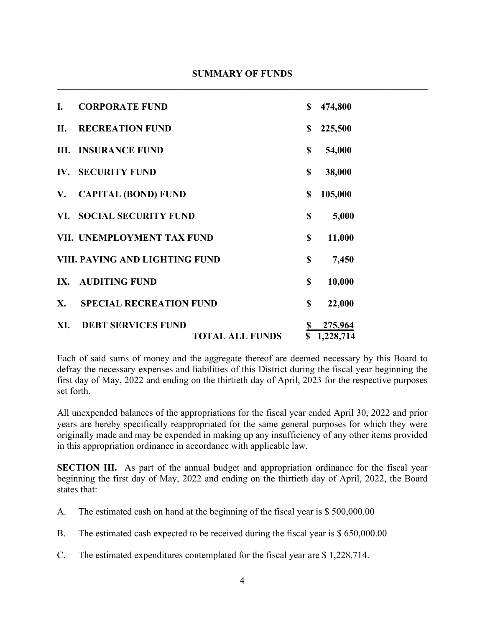| I.  | <b>CORPORATE FUND</b>                               | \$              | 474,800              |
|-----|-----------------------------------------------------|-----------------|----------------------|
| II. | <b>RECREATION FUND</b>                              | \$              | 225,500              |
|     | <b>III. INSURANCE FUND</b>                          | \$              | 54,000               |
| IV. | <b>SECURITY FUND</b>                                | \$              | 38,000               |
| V.  | <b>CAPITAL (BOND) FUND</b>                          | \$              | 105,000              |
| VI. | <b>SOCIAL SECURITY FUND</b>                         | \$              | 5,000                |
|     | VII. UNEMPLOYMENT TAX FUND                          | \$              | 11,000               |
|     | VIII. PAVING AND LIGHTING FUND                      | \$              | 7,450                |
| IX. | <b>AUDITING FUND</b>                                | \$              | 10,000               |
| X.  | <b>SPECIAL RECREATION FUND</b>                      | \$              | 22,000               |
| XI. | <b>DEBT SERVICES FUND</b><br><b>TOTAL ALL FUNDS</b> | <u>\$</u><br>\$ | 275,964<br>1,228,714 |

Each of said sums of money and the aggregate thereof are deemed necessary by this Board to defray the necessary expenses and liabilities of this District during the fiscal year beginning the first day of May, 2022 and ending on the thirtieth day of April, 2023 for the respective purposes set forth.

All unexpended balances of the appropriations for the fiscal year ended April 30, 2022 and prior years are hereby specifically reappropriated for the same general purposes for which they were originally made and may be expended in making up any insufficiency of any other items provided in this appropriation ordinance in accordance with applicable law.

**SECTION III.** As part of the annual budget and appropriation ordinance for the fiscal year beginning the first day of May, 2022 and ending on the thirtieth day of April, 2022, the Board states that:

- A. The estimated cash on hand at the beginning of the fiscal year is \$ 500,000.00
- B. The estimated cash expected to be received during the fiscal year is \$ 650,000.00
- C. The estimated expenditures contemplated for the fiscal year are \$ 1,228,714.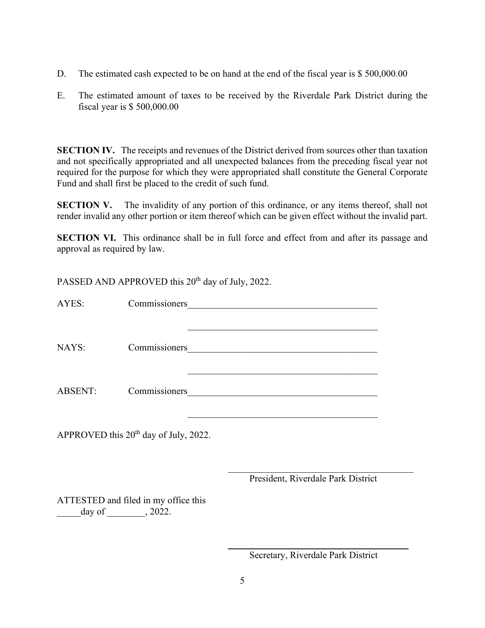- D. The estimated cash expected to be on hand at the end of the fiscal year is \$500,000.00
- E. The estimated amount of taxes to be received by the Riverdale Park District during the fiscal year is \$ 500,000.00

**SECTION IV.** The receipts and revenues of the District derived from sources other than taxation and not specifically appropriated and all unexpected balances from the preceding fiscal year not required for the purpose for which they were appropriated shall constitute the General Corporate Fund and shall first be placed to the credit of such fund.

**SECTION V.** The invalidity of any portion of this ordinance, or any items thereof, shall not render invalid any other portion or item thereof which can be given effect without the invalid part.

**SECTION VI.** This ordinance shall be in full force and effect from and after its passage and approval as required by law.

PASSED AND APPROVED this 20<sup>th</sup> day of July, 2022. AYES: Commissioners  $\mathcal{L}_\mathcal{L} = \{ \mathcal{L}_\mathcal{L} = \{ \mathcal{L}_\mathcal{L} = \{ \mathcal{L}_\mathcal{L} = \{ \mathcal{L}_\mathcal{L} = \{ \mathcal{L}_\mathcal{L} = \{ \mathcal{L}_\mathcal{L} = \{ \mathcal{L}_\mathcal{L} = \{ \mathcal{L}_\mathcal{L} = \{ \mathcal{L}_\mathcal{L} = \{ \mathcal{L}_\mathcal{L} = \{ \mathcal{L}_\mathcal{L} = \{ \mathcal{L}_\mathcal{L} = \{ \mathcal{L}_\mathcal{L} = \{ \mathcal{L}_\mathcal{$ NAYS: Commissioners Commissioners Commissioners Commissioners Commissioners Commissioners Commissioners Commissioners Commissioners Commissioners Commissioners Commissioners Commissioners Commissioners Commissioners Commis \_\_\_\_\_\_\_\_\_\_\_\_\_\_\_\_\_\_\_\_\_\_\_\_\_\_\_\_\_\_\_\_\_\_\_\_\_\_\_\_ ABSENT: Commissioners APPROVED this  $20<sup>th</sup>$  day of July, 2022. President, Riverdale Park District ATTESTED and filed in my office this  $\_\text{day of} \_\text{xx}$ , 2022.  $\overline{\phantom{a}}$  , and the contract of the contract of the contract of the contract of the contract of the contract of the contract of the contract of the contract of the contract of the contract of the contract of the contrac

Secretary, Riverdale Park District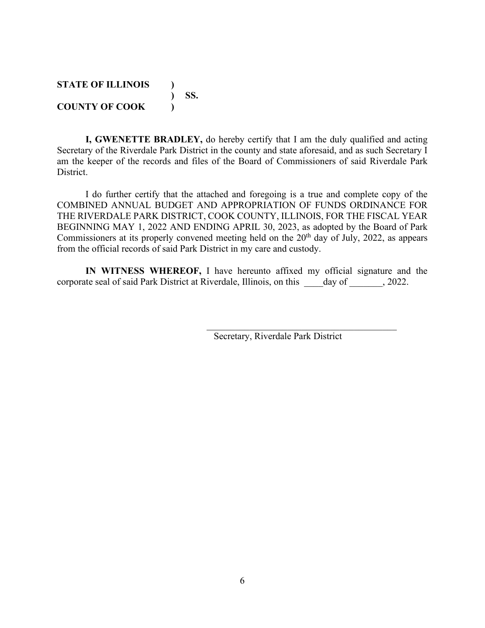#### **STATE OF ILLINOIS ) ) SS. COUNTY OF COOK )**

**I, GWENETTE BRADLEY,** do hereby certify that I am the duly qualified and acting Secretary of the Riverdale Park District in the county and state aforesaid, and as such Secretary I am the keeper of the records and files of the Board of Commissioners of said Riverdale Park District.

I do further certify that the attached and foregoing is a true and complete copy of the COMBINED ANNUAL BUDGET AND APPROPRIATION OF FUNDS ORDINANCE FOR THE RIVERDALE PARK DISTRICT, COOK COUNTY, ILLINOIS, FOR THE FISCAL YEAR BEGINNING MAY 1, 2022 AND ENDING APRIL 30, 2023, as adopted by the Board of Park Commissioners at its properly convened meeting held on the  $20<sup>th</sup>$  day of July, 2022, as appears from the official records of said Park District in my care and custody.

**IN WITNESS WHEREOF,** I have hereunto affixed my official signature and the corporate seal of said Park District at Riverdale, Illinois, on this \_\_\_\_day of \_\_\_\_\_\_\_, 2022.

Secretary, Riverdale Park District

 $\mathcal{L}_\mathcal{L}$  , which is a set of the set of the set of the set of the set of the set of the set of the set of the set of the set of the set of the set of the set of the set of the set of the set of the set of the set of